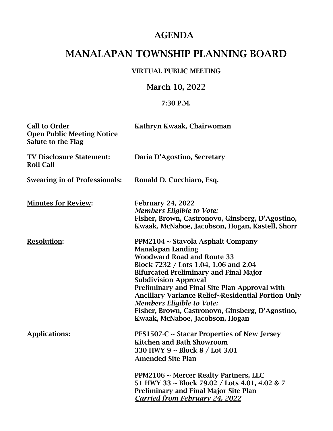## AGENDA

# MANALAPAN TOWNSHIP PLANNING BOARD

#### VIRTUAL PUBLIC MEETING

### March 10, 2022

#### 7:30 P.M.

| <b>Call to Order</b><br><b>Open Public Meeting Notice</b><br><b>Salute to the Flag</b> | Kathryn Kwaak, Chairwoman                                                                                                                                                                                                                                                                                                                                                                                                                                            |
|----------------------------------------------------------------------------------------|----------------------------------------------------------------------------------------------------------------------------------------------------------------------------------------------------------------------------------------------------------------------------------------------------------------------------------------------------------------------------------------------------------------------------------------------------------------------|
| <b>TV Disclosure Statement:</b><br><b>Roll Call</b>                                    | Daria D'Agostino, Secretary                                                                                                                                                                                                                                                                                                                                                                                                                                          |
| <b>Swearing in of Professionals:</b>                                                   | Ronald D. Cucchiaro, Esq.                                                                                                                                                                                                                                                                                                                                                                                                                                            |
| <b>Minutes for Review:</b>                                                             | <b>February 24, 2022</b><br><b>Members Eligible to Vote:</b><br>Fisher, Brown, Castronovo, Ginsberg, D'Agostino,<br>Kwaak, McNaboe, Jacobson, Hogan, Kastell, Shorr                                                                                                                                                                                                                                                                                                  |
| <b>Resolution:</b>                                                                     | PPM2104 ~ Stavola Asphalt Company<br><b>Manalapan Landing</b><br><b>Woodward Road and Route 33</b><br>Block 7232 / Lots 1.04, 1.06 and 2.04<br><b>Bifurcated Preliminary and Final Major</b><br><b>Subdivision Approval</b><br>Preliminary and Final Site Plan Approval with<br><b>Ancillary Variance Relief~Residential Portion Only</b><br><b>Members Eligible to Vote:</b><br>Fisher, Brown, Castronovo, Ginsberg, D'Agostino,<br>Kwaak, McNaboe, Jacobson, Hogan |
| <b>Applications:</b>                                                                   | <b>PFS1507-C</b> $\sim$ Stacar Properties of New Jersey<br><b>Kitchen and Bath Showroom</b><br>330 HWY 9 ~ Block 8 / Lot 3.01<br><b>Amended Site Plan</b><br>PPM2106 ~ Mercer Realty Partners, LLC<br>51 HWY 33 ~ Block 79.02 / Lots 4.01, 4.02 & 7<br><b>Preliminary and Final Major Site Plan</b><br><b>Carried from February 24, 2022</b>                                                                                                                         |